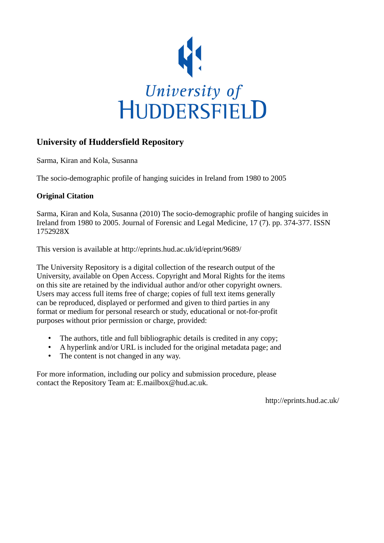

# **University of Huddersfield Repository**

Sarma, Kiran and Kola, Susanna

The socio-demographic profile of hanging suicides in Ireland from 1980 to 2005

# **Original Citation**

Sarma, Kiran and Kola, Susanna (2010) The socio-demographic profile of hanging suicides in Ireland from 1980 to 2005. Journal of Forensic and Legal Medicine, 17 (7). pp. 374-377. ISSN 1752928X

This version is available at http://eprints.hud.ac.uk/id/eprint/9689/

The University Repository is a digital collection of the research output of the University, available on Open Access. Copyright and Moral Rights for the items on this site are retained by the individual author and/or other copyright owners. Users may access full items free of charge; copies of full text items generally can be reproduced, displayed or performed and given to third parties in any format or medium for personal research or study, educational or not-for-profit purposes without prior permission or charge, provided:

- The authors, title and full bibliographic details is credited in any copy;
- A hyperlink and/or URL is included for the original metadata page; and
- The content is not changed in any way.

For more information, including our policy and submission procedure, please contact the Repository Team at: E.mailbox@hud.ac.uk.

http://eprints.hud.ac.uk/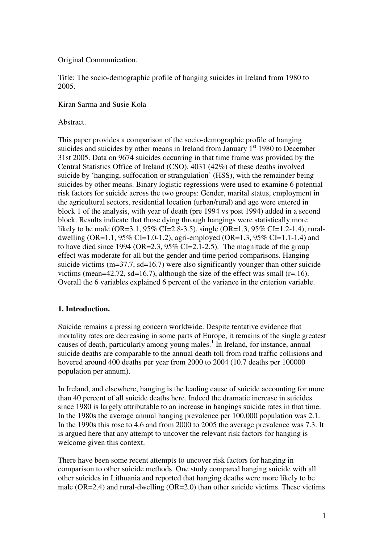Original Communication.

Title: The socio-demographic profile of hanging suicides in Ireland from 1980 to 2005.

Kiran Sarma and Susie Kola

Abstract.

This paper provides a comparison of the socio-demographic profile of hanging suicides and suicides by other means in Ireland from January  $1<sup>st</sup> 1980$  to December 31st 2005. Data on 9674 suicides occurring in that time frame was provided by the Central Statistics Office of Ireland (CSO). 4031 (42%) of these deaths involved suicide by 'hanging, suffocation or strangulation' (HSS), with the remainder being suicides by other means. Binary logistic regressions were used to examine 6 potential risk factors for suicide across the two groups: Gender, marital status, employment in the agricultural sectors, residential location (urban/rural) and age were entered in block 1 of the analysis, with year of death (pre 1994 vs post 1994) added in a second block. Results indicate that those dying through hangings were statistically more likely to be male (OR=3.1, 95% CI=2.8-3.5), single (OR=1.3, 95% CI=1.2-1.4), ruraldwelling (OR=1.1, 95% CI=1.0-1.2), agri-employed (OR=1.3, 95% CI=1.1-1.4) and to have died since 1994 (OR=2.3, 95% CI=2.1-2.5). The magnitude of the group effect was moderate for all but the gender and time period comparisons. Hanging suicide victims  $(m=37.7, sd=16.7)$  were also significantly younger than other suicide victims (mean=42.72, sd=16.7), although the size of the effect was small (r=.16). Overall the 6 variables explained 6 percent of the variance in the criterion variable.

### **1. Introduction.**

Suicide remains a pressing concern worldwide. Despite tentative evidence that mortality rates are decreasing in some parts of Europe, it remains of the single greatest causes of death, particularly among young males.<sup>1</sup> In Ireland, for instance, annual suicide deaths are comparable to the annual death toll from road traffic collisions and hovered around 400 deaths per year from 2000 to 2004 (10.7 deaths per 100000 population per annum).

In Ireland, and elsewhere, hanging is the leading cause of suicide accounting for more than 40 percent of all suicide deaths here. Indeed the dramatic increase in suicides since 1980 is largely attributable to an increase in hangings suicide rates in that time. In the 1980s the average annual hanging prevalence per 100,000 population was 2.1. In the 1990s this rose to 4.6 and from 2000 to 2005 the average prevalence was 7.3. It is argued here that any attempt to uncover the relevant risk factors for hanging is welcome given this context.

There have been some recent attempts to uncover risk factors for hanging in comparison to other suicide methods. One study compared hanging suicide with all other suicides in Lithuania and reported that hanging deaths were more likely to be male ( $OR=2.4$ ) and rural-dwelling ( $OR=2.0$ ) than other suicide victims. These victims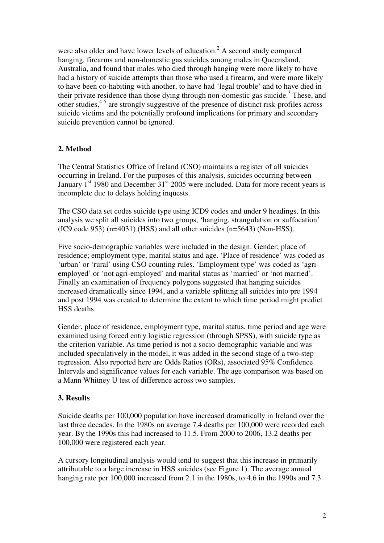were also older and have lower levels of education.<sup>2</sup> A second study compared hanging, firearms and non-domestic gas suicides among males in Queensland, Australia, and found that males who died through hanging were more likely to have had a history of suicide attempts than those who used a firearm, and were more likely to have been co-habiting with another, to have had 'legal trouble' and to have died in their private residence than those dying through non-domestic gas suicide.<sup>3</sup> These, and other studies,<sup>45</sup> are strongly suggestive of the presence of distinct risk-profiles across suicide victims and the potentially profound implications for primary and secondary suicide prevention cannot be ignored.

# **2. Method**

The Central Statistics Office of Ireland (CSO) maintains a register of all suicides occurring in Ireland. For the purposes of this analysis, suicides occurring between January  $1<sup>st</sup>$  1980 and December  $31<sup>st</sup>$  2005 were included. Data for more recent years is incomplete due to delays holding inquests.

The CSO data set codes suicide type using ICD9 codes and under 9 headings. In this analysis we split all suicides into two groups, 'hanging, strangulation or suffocation' (IC9 code 953) (n=4031) (HSS) and all other suicides (n=5643) (Non-HSS).

Five socio-demographic variables were included in the design: Gender; place of residence; employment type, marital status and age. 'Place of residence' was coded as 'urban' or 'rural' using CSO counting rules. 'Employment type' was coded as 'agriemployed' or 'not agri-employed' and marital status as 'married' or 'not married'. Finally an examination of frequency polygons suggested that hanging suicides increased dramatically since 1994, and a variable splitting all suicides into pre 1994 and post 1994 was created to determine the extent to which time period might predict HSS deaths.

Gender, place of residence, employment type, marital status, time period and age were examined using forced entry logistic regression (through SPSS), with suicide type as the criterion variable. As time period is not a socio-demographic variable and was included speculatively in the model, it was added in the second stage of a two-step regression. Also reported here are Odds Ratios (ORs), associated 95% Confidence Intervals and significance values for each variable. The age comparison was based on a Mann Whitney U test of difference across two samples.

### **3. Results**

Suicide deaths per 100,000 population have increased dramatically in Ireland over the last three decades. In the 1980s on average 7.4 deaths per 100,000 were recorded each year. By the 1990s this had increased to 11.5. From 2000 to 2006, 13.2 deaths per 100,000 were registered each year.

A cursory longitudinal analysis would tend to suggest that this increase in primarily attributable to a large increase in HSS suicides (see Figure 1). The average annual hanging rate per 100,000 increased from 2.1 in the 1980s, to 4.6 in the 1990s and 7.3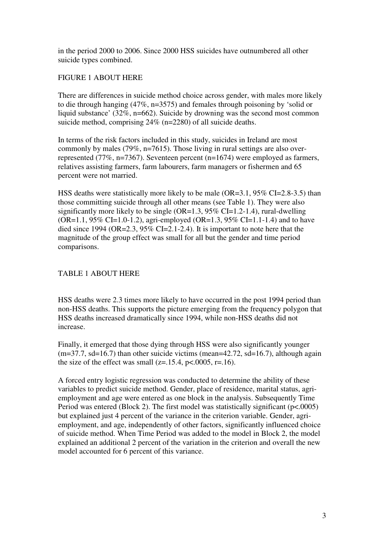in the period 2000 to 2006. Since 2000 HSS suicides have outnumbered all other suicide types combined.

# FIGURE 1 ABOUT HERE

There are differences in suicide method choice across gender, with males more likely to die through hanging (47%, n=3575) and females through poisoning by 'solid or liquid substance' (32%, n=662). Suicide by drowning was the second most common suicide method, comprising 24% (n=2280) of all suicide deaths.

In terms of the risk factors included in this study, suicides in Ireland are most commonly by males (79%, n=7615). Those living in rural settings are also overrepresented (77%, n=7367). Seventeen percent (n=1674) were employed as farmers, relatives assisting farmers, farm labourers, farm managers or fishermen and 65 percent were not married.

HSS deaths were statistically more likely to be male  $(OR=3.1, 95\% CI=2.8-3.5)$  than those committing suicide through all other means (see Table 1). They were also significantly more likely to be single  $(OR=1.3, 95\% CI=1.2-1.4)$ , rural-dwelling  $(OR=1.1, 95\% CI=1.0-1.2)$ , agri-employed  $(OR=1.3, 95\% CI=1.1-1.4)$  and to have died since 1994 (OR=2.3, 95% CI=2.1-2.4). It is important to note here that the magnitude of the group effect was small for all but the gender and time period comparisons.

## TABLE 1 ABOUT HERE

HSS deaths were 2.3 times more likely to have occurred in the post 1994 period than non-HSS deaths. This supports the picture emerging from the frequency polygon that HSS deaths increased dramatically since 1994, while non-HSS deaths did not increase.

Finally, it emerged that those dying through HSS were also significantly younger  $(m=37.7, sd=16.7)$  than other suicide victims (mean=42.72, sd=16.7), although again the size of the effect was small ( $z=15.4$ ,  $p<0.0005$ ,  $r=16$ ).

A forced entry logistic regression was conducted to determine the ability of these variables to predict suicide method. Gender, place of residence, marital status, agriemployment and age were entered as one block in the analysis. Subsequently Time Period was entered (Block 2). The first model was statistically significant ( $p<0.0005$ ) but explained just 4 percent of the variance in the criterion variable. Gender, agriemployment, and age, independently of other factors, significantly influenced choice of suicide method. When Time Period was added to the model in Block 2, the model explained an additional 2 percent of the variation in the criterion and overall the new model accounted for 6 percent of this variance.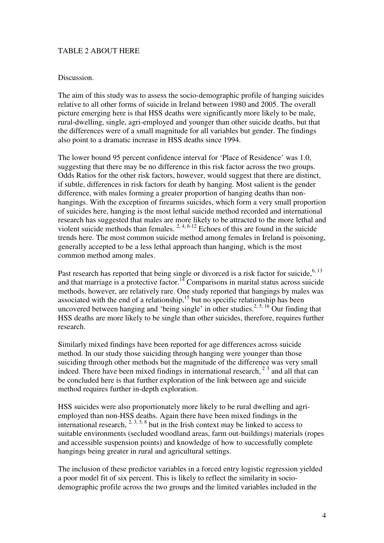#### TABLE 2 ABOUT HERE

#### Discussion.

The aim of this study was to assess the socio-demographic profile of hanging suicides relative to all other forms of suicide in Ireland between 1980 and 2005. The overall picture emerging here is that HSS deaths were significantly more likely to be male, rural-dwelling, single, agri-employed and younger than other suicide deaths, but that the differences were of a small magnitude for all variables but gender. The findings also point to a dramatic increase in HSS deaths since 1994.

The lower bound 95 percent confidence interval for 'Place of Residence' was 1.0, suggesting that there may be no difference in this risk factor across the two groups. Odds Ratios for the other risk factors, however, would suggest that there are distinct, if subtle, differences in risk factors for death by hanging. Most salient is the gender difference, with males forming a greater proportion of hanging deaths than nonhangings. With the exception of firearms suicides, which form a very small proportion of suicides here, hanging is the most lethal suicide method recorded and international research has suggested that males are more likely to be attracted to the more lethal and violent suicide methods than females.<sup>2, 4, 6-12</sup> Echoes of this are found in the suicide trends here. The most common suicide method among females in Ireland is poisoning, generally accepted to be a less lethal approach than hanging, which is the most common method among males.

Past research has reported that being single or divorced is a risk factor for suicide,<sup>6, 13</sup> and that marriage is a protective factor.<sup>14</sup> Comparisons in marital status across suicide methods, however, are relatively rare. One study reported that hangings by males was associated with the end of a relationship, $15$  but no specific relationship has been uncovered between hanging and 'being single' in other studies.<sup>2, 5, 16</sup> Our finding that HSS deaths are more likely to be single than other suicides, therefore, requires further research.

Similarly mixed findings have been reported for age differences across suicide method. In our study those suiciding through hanging were younger than those suiciding through other methods but the magnitude of the difference was very small indeed. There have been mixed findings in international research,  $2<sup>3</sup>$  and all that can be concluded here is that further exploration of the link between age and suicide method requires further in-depth exploration.

HSS suicides were also proportionately more likely to be rural dwelling and agriemployed than non-HSS deaths. Again there have been mixed findings in the international research,  $2, 3, 5, 8$  but in the Irish context may be linked to access to suitable environments (secluded woodland areas, farm out-buildings) materials (ropes and accessible suspension points) and knowledge of how to successfully complete hangings being greater in rural and agricultural settings.

The inclusion of these predictor variables in a forced entry logistic regression yielded a poor model fit of six percent. This is likely to reflect the similarity in sociodemographic profile across the two groups and the limited variables included in the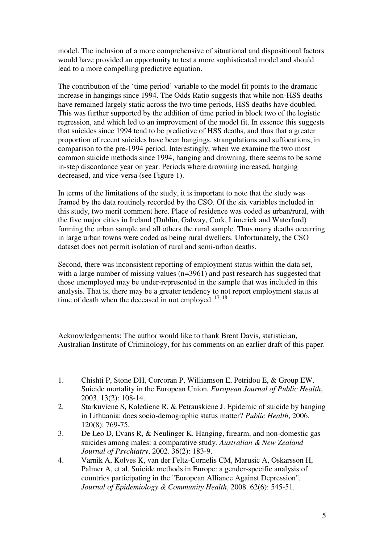model. The inclusion of a more comprehensive of situational and dispositional factors would have provided an opportunity to test a more sophisticated model and should lead to a more compelling predictive equation.

The contribution of the 'time period' variable to the model fit points to the dramatic increase in hangings since 1994. The Odds Ratio suggests that while non-HSS deaths have remained largely static across the two time periods, HSS deaths have doubled. This was further supported by the addition of time period in block two of the logistic regression, and which led to an improvement of the model fit. In essence this suggests that suicides since 1994 tend to be predictive of HSS deaths, and thus that a greater proportion of recent suicides have been hangings, strangulations and suffocations, in comparison to the pre-1994 period. Interestingly, when we examine the two most common suicide methods since 1994, hanging and drowning, there seems to be some in-step discordance year on year. Periods where drowning increased, hanging decreased, and vice-versa (see Figure 1).

In terms of the limitations of the study, it is important to note that the study was framed by the data routinely recorded by the CSO. Of the six variables included in this study, two merit comment here. Place of residence was coded as urban/rural, with the five major cities in Ireland (Dublin, Galway, Cork, Limerick and Waterford) forming the urban sample and all others the rural sample. Thus many deaths occurring in large urban towns were coded as being rural dwellers. Unfortunately, the CSO dataset does not permit isolation of rural and semi-urban deaths.

Second, there was inconsistent reporting of employment status within the data set, with a large number of missing values (n=3961) and past research has suggested that those unemployed may be under-represented in the sample that was included in this analysis. That is, there may be a greater tendency to not report employment status at time of death when the deceased in not employed.  $17, 18$ 

Acknowledgements: The author would like to thank Brent Davis, statistician, Australian Institute of Criminology, for his comments on an earlier draft of this paper.

- 1. Chishti P, Stone DH, Corcoran P, Williamson E, Petridou E, & Group EW. Suicide mortality in the European Union*. European Journal of Public Health*, 2003. 13(2): 108-14.
- 2. Starkuviene S, Kalediene R, & Petrauskiene J. Epidemic of suicide by hanging in Lithuania: does socio-demographic status matter? *Public Health*, 2006. 120(8): 769-75.
- 3. De Leo D, Evans R, & Neulinger K. Hanging, firearm, and non-domestic gas suicides among males: a comparative study*. Australian & New Zealand Journal of Psychiatry*, 2002. 36(2): 183-9.
- 4. Varnik A, Kolves K, van der Feltz-Cornelis CM, Marusic A, Oskarsson H, Palmer A, et al. Suicide methods in Europe: a gender-specific analysis of countries participating in the "European Alliance Against Depression"*. Journal of Epidemiology & Community Health*, 2008. 62(6): 545-51.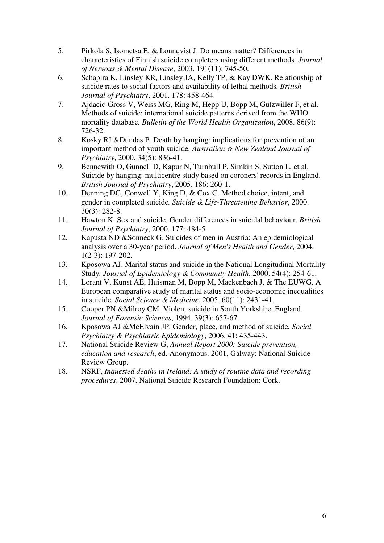- 5. Pirkola S, Isometsa E, & Lonnqvist J. Do means matter? Differences in characteristics of Finnish suicide completers using different methods*. Journal of Nervous & Mental Disease*, 2003. 191(11): 745-50.
- 6. Schapira K, Linsley KR, Linsley JA, Kelly TP, & Kay DWK. Relationship of suicide rates to social factors and availability of lethal methods*. British Journal of Psychiatry*, 2001. 178: 458-464.
- 7. Ajdacic-Gross V, Weiss MG, Ring M, Hepp U, Bopp M, Gutzwiller F, et al. Methods of suicide: international suicide patterns derived from the WHO mortality database*. Bulletin of the World Health Organization*, 2008. 86(9): 726-32.
- 8. Kosky RJ &Dundas P. Death by hanging: implications for prevention of an important method of youth suicide*. Australian & New Zealand Journal of Psychiatry*, 2000. 34(5): 836-41.
- 9. Bennewith O, Gunnell D, Kapur N, Turnbull P, Simkin S, Sutton L, et al. Suicide by hanging: multicentre study based on coroners' records in England. *British Journal of Psychiatry*, 2005. 186: 260-1.
- 10. Denning DG, Conwell Y, King D, & Cox C. Method choice, intent, and gender in completed suicide*. Suicide & Life-Threatening Behavior*, 2000. 30(3): 282-8.
- 11. Hawton K. Sex and suicide. Gender differences in suicidal behaviour. *British Journal of Psychiatry*, 2000. 177: 484-5.
- 12. Kapusta ND &Sonneck G. Suicides of men in Austria: An epidemiological analysis over a 30-year period. *Journal of Men's Health and Gender*, 2004. 1(2-3): 197-202.
- 13. Kposowa AJ. Marital status and suicide in the National Longitudinal Mortality Study*. Journal of Epidemiology & Community Health*, 2000. 54(4): 254-61.
- 14. Lorant V, Kunst AE, Huisman M, Bopp M, Mackenbach J, & The EUWG. A European comparative study of marital status and socio-economic inequalities in suicide*. Social Science & Medicine*, 2005. 60(11): 2431-41.
- 15. Cooper PN &Milroy CM. Violent suicide in South Yorkshire, England*. Journal of Forensic Sciences*, 1994. 39(3): 657-67.
- 16. Kposowa AJ &McElvain JP. Gender, place, and method of suicide*. Social Psychiatry & Psychiatric Epidemiology*, 2006. 41: 435-443.
- 17. National Suicide Review G, *Annual Report 2000: Suicide prevention, education and research*, ed. Anonymous. 2001, Galway: National Suicide Review Group.
- 18. NSRF, *Inquested deaths in Ireland: A study of routine data and recording procedures*. 2007, National Suicide Research Foundation: Cork.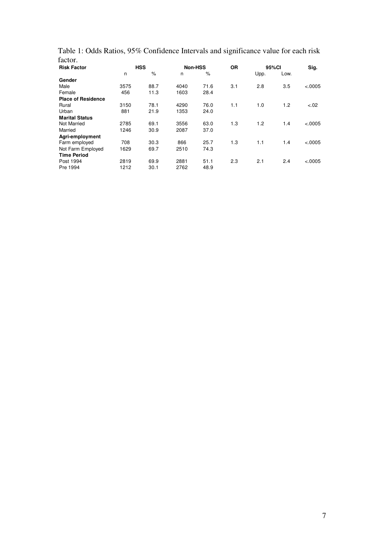| Table 1: Odds Ratios, 95% Confidence Intervals and significance value for each risk |  |  |  |
|-------------------------------------------------------------------------------------|--|--|--|
| factor.                                                                             |  |  |  |

| <b>Risk Factor</b>        | <b>HSS</b> |      |      | Non-HSS | <b>OR</b> |      | 95%CI |         |
|---------------------------|------------|------|------|---------|-----------|------|-------|---------|
|                           | n          | $\%$ | n    | $\%$    |           | Upp. | Low.  |         |
| Gender                    |            |      |      |         |           |      |       |         |
| Male                      | 3575       | 88.7 | 4040 | 71.6    | 3.1       | 2.8  | 3.5   | < .0005 |
| Female                    | 456        | 11.3 | 1603 | 28.4    |           |      |       |         |
| <b>Place of Residence</b> |            |      |      |         |           |      |       |         |
| Rural                     | 3150       | 78.1 | 4290 | 76.0    | 1.1       | 1.0  | 1.2   | $-.02$  |
| Urban                     | 881        | 21.9 | 1353 | 24.0    |           |      |       |         |
| <b>Marital Status</b>     |            |      |      |         |           |      |       |         |
| <b>Not Married</b>        | 2785       | 69.1 | 3556 | 63.0    | 1.3       | 1.2  | 1.4   | < .0005 |
| Married                   | 1246       | 30.9 | 2087 | 37.0    |           |      |       |         |
| Agri-employment           |            |      |      |         |           |      |       |         |
| Farm employed             | 708        | 30.3 | 866  | 25.7    | 1.3       | 1.1  | 1.4   | < .0005 |
| Not Farm Employed         | 1629       | 69.7 | 2510 | 74.3    |           |      |       |         |
| <b>Time Period</b>        |            |      |      |         |           |      |       |         |
| Post 1994                 | 2819       | 69.9 | 2881 | 51.1    | 2.3       | 2.1  | 2.4   | < .0005 |
| Pre 1994                  | 1212       | 30.1 | 2762 | 48.9    |           |      |       |         |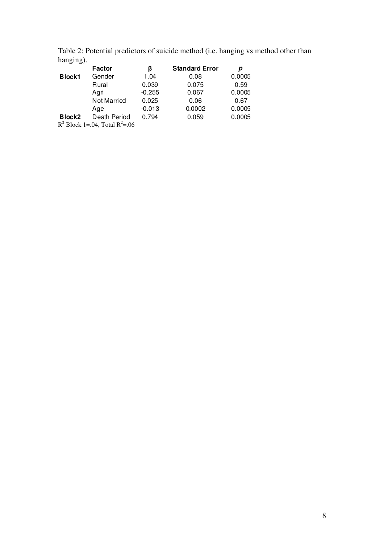Table 2: Potential predictors of suicide method (i.e. hanging vs method other than hanging).

|                    | Factor                              | ß        | <b>Standard Error</b> |        |
|--------------------|-------------------------------------|----------|-----------------------|--------|
| <b>Block1</b>      | Gender                              | 1.04     | 0.08                  | 0.0005 |
|                    | Rural                               | 0.039    | 0.075                 | 0.59   |
|                    | Agri                                | $-0.255$ | 0.067                 | 0.0005 |
|                    | Not Married                         | 0.025    | 0.06                  | 0.67   |
|                    | Age                                 | $-0.013$ | 0.0002                | 0.0005 |
| Block <sub>2</sub> | Death Period                        | 0.794    | 0.059                 | 0.0005 |
|                    | $R^2$ Block 1=.04, Total $R^2$ =.06 |          |                       |        |